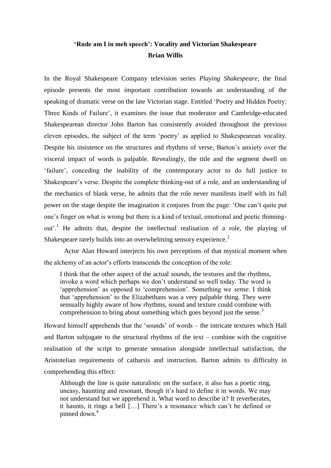# **'Rude am I in meh speech': Vocality and Victorian Shakespeare Brian Willis**

In the Royal Shakespeare Company television series *Playing Shakespeare*, the final episode presents the most important contribution towards an understanding of the speaking of dramatic verse on the late Victorian stage. Entitled 'Poetry and Hidden Poetry: Three Kinds of Failure', it examines the issue that moderator and Cambridge-educated Shakespearean director John Barton has consistently avoided throughout the previous eleven episodes, the subject of the term 'poetry' as applied to Shakespearean vocality. Despite his insistence on the structures and rhythms of verse, Barton's anxiety over the visceral impact of words is palpable. Revealingly, the title and the segment dwell on ‗failure', conceding the inability of the contemporary actor to do full justice to Shakespeare's verse. Despite the complete thinking-out of a role, and an understanding of the mechanics of blank verse, he admits that the role never manifests itself with its full power on the stage despite the imagination it conjures from the page: ‗One can't quite put one's finger on what is wrong but there is a kind of textual, emotional and poetic thinningout'.<sup>1</sup> He admits that, despite the intellectual realisation of a role, the playing of Shakespeare rarely builds into an overwhelming sensory experience.<sup>2</sup>

Actor Alan Howard interjects his own perceptions of that mystical moment when the alchemy of an actor's efforts transcends the conception of the role:

I think that the other aspect of the actual *sounds*, the textures and the rhythms, invoke a word which perhaps we don't understand so well today. The word is 'apprehension' as opposed to 'comprehension'. Something we *sense*. I think that 'apprehension' to the Elizabethans was a very palpable thing. They were sensually highly aware of how rhythms, sound and texture could combine with comprehension to bring about something which goes beyond just the sense.<sup>3</sup>

Howard himself apprehends that the 'sounds' of words – the intricate textures which Hall and Barton subjugate to the structural rhythms of the text – combine with the cognitive realisation of the script to generate sensation alongside intellectual satisfaction, the Aristotelian requirements of catharsis and instruction. Barton admits to difficulty in comprehending this effect:

Although the line is quite naturalistic on the surface, it also has a poetic ring, uneasy, haunting and resonant, though it's hard to define it in words. We may not understand but we apprehend it. What word to describe it? It reverberates, it haunts, it rings a bell […] There's a resonance which can't be defined or pinned down.<sup>4</sup>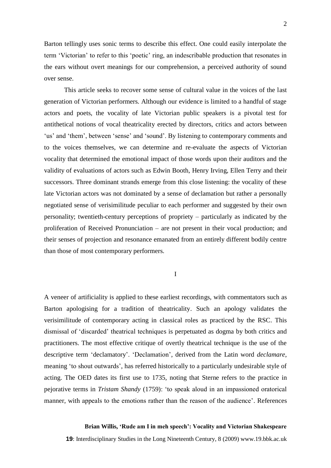Barton tellingly uses sonic terms to describe this effect. One could easily interpolate the term 'Victorian' to refer to this 'poetic' ring, an indescribable production that resonates in the ears without overt meanings for our comprehension, a perceived authority of sound over sense.

This article seeks to recover some sense of cultural value in the voices of the last generation of Victorian performers. Although our evidence is limited to a handful of stage actors and poets, the vocality of late Victorian public speakers is a pivotal test for antithetical notions of vocal theatricality erected by directors, critics and actors between 'us' and 'them', between 'sense' and 'sound'. By listening to contemporary comments and to the voices themselves, we can determine and re-evaluate the aspects of Victorian vocality that determined the emotional impact of those words upon their auditors and the validity of evaluations of actors such as Edwin Booth, Henry Irving, Ellen Terry and their successors. Three dominant strands emerge from this close listening: the vocality of these late Victorian actors was not dominated by a sense of declamation but rather a personally negotiated sense of verisimilitude peculiar to each performer and suggested by their own personality; twentieth-century perceptions of propriety – particularly as indicated by the proliferation of Received Pronunciation – are not present in their vocal production; and their senses of projection and resonance emanated from an entirely different bodily centre than those of most contemporary performers.

I

A veneer of artificiality is applied to these earliest recordings, with commentators such as Barton apologising for a tradition of theatricality. Such an apology validates the verisimilitude of contemporary acting in classical roles as practiced by the RSC. This dismissal of ‗discarded' theatrical techniques is perpetuated as dogma by both critics and practitioners. The most effective critique of overtly theatrical technique is the use of the descriptive term 'declamatory'. 'Declamation', derived from the Latin word *declamare*, meaning 'to shout outwards', has referred historically to a particularly undesirable style of acting. The OED dates its first use to 1735, noting that Sterne refers to the practice in pejorative terms in *Tristam Shandy* (1759): ‗to speak aloud in an impassioned oratorical manner, with appeals to the emotions rather than the reason of the audience'. References

## **Brian Willis, 'Rude am I in meh speech': Vocality and Victorian Shakespeare**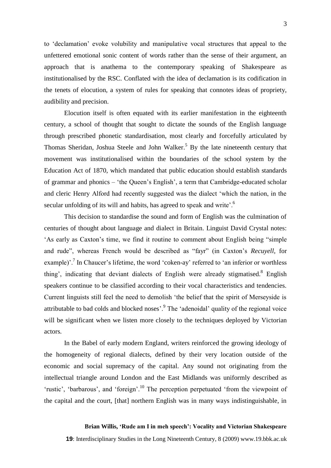3

to ‗declamation' evoke volubility and manipulative vocal structures that appeal to the unfettered emotional sonic content of words rather than the sense of their argument, an approach that is anathema to the contemporary speaking of Shakespeare as institutionalised by the RSC. Conflated with the idea of declamation is its codification in the tenets of elocution, a system of rules for speaking that connotes ideas of propriety, audibility and precision.

Elocution itself is often equated with its earlier manifestation in the eighteenth century, a school of thought that sought to dictate the sounds of the English language through prescribed phonetic standardisation, most clearly and forcefully articulated by Thomas Sheridan, Joshua Steele and John Walker.<sup>5</sup> By the late nineteenth century that movement was institutionalised within the boundaries of the school system by the Education Act of 1870, which mandated that public education should establish standards of grammar and phonics – ‗the Queen's English', a term that Cambridge-educated scholar and cleric Henry Alford had recently suggested was the dialect 'which the nation, in the secular unfolding of its will and habits, has agreed to speak and write'.<sup>6</sup>

This decision to standardise the sound and form of English was the culmination of centuries of thought about language and dialect in Britain. Linguist David Crystal notes: As early as Caxton's time, we find it routine to comment about English being "simple" and rude", whereas French would be described as "fayr" (in Caxton's *Recuyell*, for example)'.<sup>7</sup> In Chaucer's lifetime, the word 'coken-ay' referred to 'an inferior or worthless thing', indicating that deviant dialects of English were already stigmatised.<sup>8</sup> English speakers continue to be classified according to their vocal characteristics and tendencies. Current linguists still feel the need to demolish ‗the belief that the spirit of Merseyside is attributable to bad colds and blocked noses'.<sup>9</sup> The 'adenoidal' quality of the regional voice will be significant when we listen more closely to the techniques deployed by Victorian actors.

In the Babel of early modern England, writers reinforced the growing ideology of the homogeneity of regional dialects, defined by their very location outside of the economic and social supremacy of the capital. Any sound not originating from the intellectual triangle around London and the East Midlands was uniformly described as ‗rustic', ‗barbarous', and ‗foreign'.<sup>10</sup> The perception perpetuated ‗from the viewpoint of the capital and the court, [that] northern English was in many ways indistinguishable, in

## **Brian Willis, 'Rude am I in meh speech': Vocality and Victorian Shakespeare**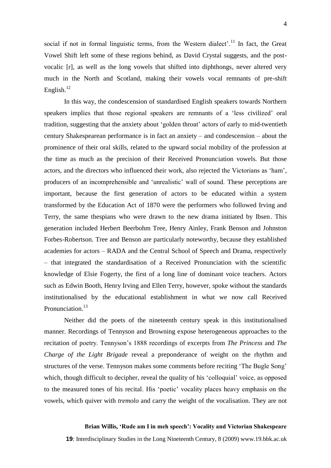social if not in formal linguistic terms, from the Western dialect'.<sup>11</sup> In fact, the Great Vowel Shift left some of these regions behind, as David Crystal suggests, and the postvocalic [r], as well as the long vowels that shifted into diphthongs, never altered very much in the North and Scotland, making their vowels vocal remnants of pre-shift English. $^{12}$ 

In this way, the condescension of standardised English speakers towards Northern speakers implies that those regional speakers are remnants of a 'less civilized' oral tradition, suggesting that the anxiety about ‗golden throat' actors of early to mid-twentieth century Shakespearean performance is in fact an anxiety – and condescension – about the prominence of their oral skills, related to the upward social mobility of the profession at the time as much as the precision of their Received Pronunciation vowels. But those actors, and the directors who influenced their work, also rejected the Victorians as 'ham', producers of an incomprehensible and 'unrealistic' wall of sound. These perceptions are important, because the first generation of actors to be educated within a system transformed by the Education Act of 1870 were the performers who followed Irving and Terry, the same thespians who were drawn to the new drama initiated by Ibsen. This generation included Herbert Beerbohm Tree, Henry Ainley, Frank Benson and Johnston Forbes-Robertson. Tree and Benson are particularly noteworthy, because they established academies for actors – RADA and the Central School of Speech and Drama, respectively – that integrated the standardisation of a Received Pronunciation with the scientific knowledge of Elsie Fogerty, the first of a long line of dominant voice teachers. Actors such as Edwin Booth, Henry Irving and Ellen Terry, however, spoke without the standards institutionalised by the educational establishment in what we now call Received Pronunciation.<sup>13</sup>

Neither did the poets of the nineteenth century speak in this institutionalised manner. Recordings of Tennyson and Browning expose heterogeneous approaches to the recitation of poetry. Tennyson's 1888 recordings of excerpts from *The Princess* and *The Charge of the Light Brigade* reveal a preponderance of weight on the rhythm and structures of the verse. Tennyson makes some comments before reciting 'The Bugle Song' which, though difficult to decipher, reveal the quality of his 'colloquial' voice, as opposed to the measured tones of his recital. His 'poetic' vocality places heavy emphasis on the vowels, which quiver with *tremolo* and carry the weight of the vocalisation. They are not

## **Brian Willis, 'Rude am I in meh speech': Vocality and Victorian Shakespeare**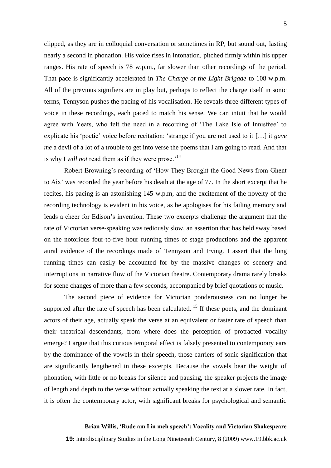clipped, as they are in colloquial conversation or sometimes in RP, but sound out, lasting nearly a second in phonation. His voice rises in intonation, pitched firmly within his upper ranges. His rate of speech is 78 w.p.m., far slower than other recordings of the period. That pace is significantly accelerated in *The Charge of the Light Brigade* to 108 w.p.m. All of the previous signifiers are in play but, perhaps to reflect the charge itself in sonic terms, Tennyson pushes the pacing of his vocalisation. He reveals three different types of voice in these recordings, each paced to match his sense. We can intuit that he would agree with Yeats, who felt the need in a recording of 'The Lake Isle of Innisfree' to explicate his 'poetic' voice before recitation: 'strange if you are not used to it [...] it *gave me* a devil of a lot of a trouble to get into verse the poems that I am going to read. And that is why I *will not* read them as if they were prose.<sup>'14</sup>

Robert Browning's recording of 'How They Brought the Good News from Ghent to Aix' was recorded the year before his death at the age of 77. In the short excerpt that he recites, his pacing is an astonishing 145 w.p.m, and the excitement of the novelty of the recording technology is evident in his voice, as he apologises for his failing memory and leads a cheer for Edison's invention. These two excerpts challenge the argument that the rate of Victorian verse-speaking was tediously slow, an assertion that has held sway based on the notorious four-to-five hour running times of stage productions and the apparent aural evidence of the recordings made of Tennyson and Irving. I assert that the long running times can easily be accounted for by the massive changes of scenery and interruptions in narrative flow of the Victorian theatre. Contemporary drama rarely breaks for scene changes of more than a few seconds, accompanied by brief quotations of music.

The second piece of evidence for Victorian ponderousness can no longer be supported after the rate of speech has been calculated.<sup>15</sup> If these poets, and the dominant actors of their age, actually speak the verse at an equivalent or faster rate of speech than their theatrical descendants, from where does the perception of protracted vocality emerge? I argue that this curious temporal effect is falsely presented to contemporary ears by the dominance of the vowels in their speech, those carriers of sonic signification that are significantly lengthened in these excerpts. Because the vowels bear the weight of phonation, with little or no breaks for silence and pausing, the speaker projects the image of length and depth to the verse without actually speaking the text at a slower rate. In fact, it is often the contemporary actor, with significant breaks for psychological and semantic

## **Brian Willis, 'Rude am I in meh speech': Vocality and Victorian Shakespeare**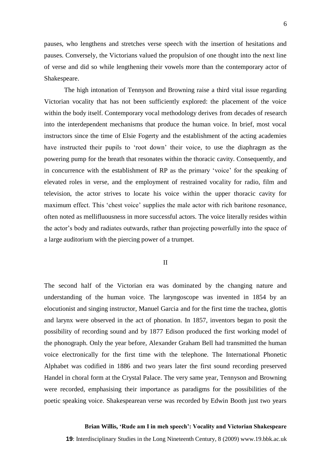pauses, who lengthens and stretches verse speech with the insertion of hesitations and pauses. Conversely, the Victorians valued the propulsion of one thought into the next line of verse and did so while lengthening their vowels more than the contemporary actor of Shakespeare.

The high intonation of Tennyson and Browning raise a third vital issue regarding Victorian vocality that has not been sufficiently explored: the placement of the voice within the body itself. Contemporary vocal methodology derives from decades of research into the interdependent mechanisms that produce the human voice. In brief, most vocal instructors since the time of Elsie Fogerty and the establishment of the acting academies have instructed their pupils to 'root down' their voice, to use the diaphragm as the powering pump for the breath that resonates within the thoracic cavity. Consequently, and in concurrence with the establishment of RP as the primary 'voice' for the speaking of elevated roles in verse, and the employment of restrained vocality for radio, film and television, the actor strives to locate his voice within the upper thoracic cavity for maximum effect. This 'chest voice' supplies the male actor with rich baritone resonance, often noted as mellifluousness in more successful actors. The voice literally resides within the actor's body and radiates outwards, rather than projecting powerfully into the space of a large auditorium with the piercing power of a trumpet.

II

The second half of the Victorian era was dominated by the changing nature and understanding of the human voice. The laryngoscope was invented in 1854 by an elocutionist and singing instructor, Manuel Garcia and for the first time the trachea, glottis and larynx were observed in the act of phonation. In 1857, inventors began to posit the possibility of recording sound and by 1877 Edison produced the first working model of the phonograph. Only the year before, Alexander Graham Bell had transmitted the human voice electronically for the first time with the telephone. The International Phonetic Alphabet was codified in 1886 and two years later the first sound recording preserved Handel in choral form at the Crystal Palace. The very same year, Tennyson and Browning were recorded, emphasising their importance as paradigms for the possibilities of the poetic speaking voice. Shakespearean verse was recorded by Edwin Booth just two years

## **Brian Willis, 'Rude am I in meh speech': Vocality and Victorian Shakespeare**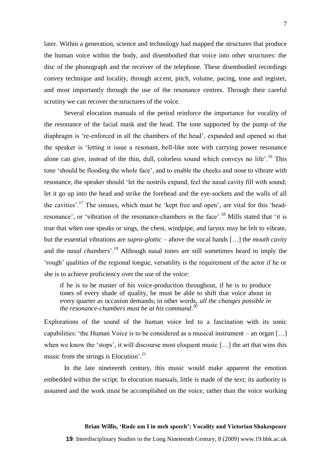later. Within a generation, science and technology had mapped the structures that produce the human voice within the body, and disembodied that voice into other structures: the disc of the phonograph and the receiver of the telephone. These disembodied recordings convey technique and locality, through accent, pitch, volume, pacing, tone and register, and most importantly through the use of the resonance centres. Through their careful scrutiny we can recover the structures of the voice.

Several elocution manuals of the period reinforce the importance for vocality of the resonance of the facial mask and the head. The tone supported by the pump of the diaphragm is 're-enforced in all the chambers of the head', expanded and opened so that the speaker is 'letting it issue a resonant, bell-like note with carrying power resonance alone can give, instead of the thin, dull, colorless sound which conveys no life'.<sup>16</sup> This tone 'should be flooding the whole face', and to enable the cheeks and nose to vibrate with resonance, the speaker should 'let the nostrils expand, feel the nasal cavity fill with sound; let it go up into the head and strike the forehead and the eye-sockets and the walls of all the cavities'.<sup>17</sup> The sinuses, which must be 'kept free and open', are vital for this 'headresonance', or 'vibration of the resonance-chambers in the face'.<sup>18</sup> Mills stated that 'it is true that when one speaks or sings, the chest, windpipe, and larynx may be felt to vibrate, but the essential vibrations are *supra-glottic* – above the vocal bands […] the *mouth cavity* and the *nasal chambers*'.<sup>19</sup> Although nasal tones are still sometimes heard to imply the ‗rough' qualities of the regional tongue, versatility is the requirement of the actor if he or she is to achieve proficiency over the use of the voice:

if he is to be master of his voice-production throughout, if he is to produce tones of every shade of quality, he must be able to shift that voice about in every quarter as occasion demands; in other words, *all the changes possible in the resonance-chambers must be at his command*. 20

Explorations of the sound of the human voice led to a fascination with its sonic capabilities: 'the Human Voice is to be considered as a musical instrument – an organ [...] when we know the 'stops', it will discourse most eloquent music  $[\dots]$  the art that wins this music from the strings is Elocution'.<sup>21</sup>

In the late nineteenth century, this music would make apparent the emotion embedded within the script. In elocution manuals, little is made of the text; its authority is assumed and the work must be accomplished on the voice, rather than the voice working

#### **Brian Willis, 'Rude am I in meh speech': Vocality and Victorian Shakespeare**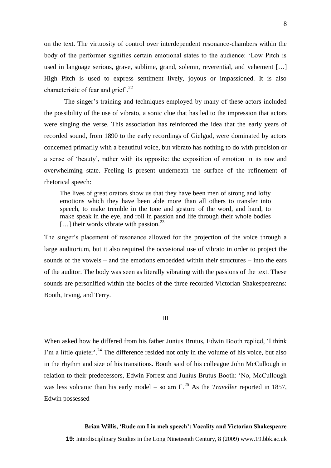on the text. The virtuosity of control over interdependent resonance-chambers within the body of the performer signifies certain emotional states to the audience: 'Low Pitch is used in language serious, grave, sublime, grand, solemn, reverential, and vehement […] High Pitch is used to express sentiment lively, joyous or impassioned. It is also characteristic of fear and grief'.<sup>22</sup>

The singer's training and techniques employed by many of these actors included the possibility of the use of vibrato, a sonic clue that has led to the impression that actors were singing the verse. This association has reinforced the idea that the early years of recorded sound, from 1890 to the early recordings of Gielgud, were dominated by actors concerned primarily with a beautiful voice, but vibrato has nothing to do with precision or a sense of 'beauty', rather with its opposite: the exposition of emotion in its raw and overwhelming state. Feeling is present underneath the surface of the refinement of rhetorical speech:

The lives of great orators show us that they have been men of strong and lofty emotions which they have been able more than all others to transfer into speech, to make tremble in the tone and gesture of the word, and hand, to make speak in the eye, and roll in passion and life through their whole bodies [...] their words vibrate with passion.<sup>23</sup>

The singer's placement of resonance allowed for the projection of the voice through a large auditorium, but it also required the occasional use of vibrato in order to project the sounds of the vowels – and the emotions embedded within their structures – into the ears of the auditor. The body was seen as literally vibrating with the passions of the text. These sounds are personified within the bodies of the three recorded Victorian Shakespeareans: Booth, Irving, and Terry.

#### III

When asked how he differed from his father Junius Brutus, Edwin Booth replied, 'I think I'm a little quieter'.<sup>24</sup> The difference resided not only in the volume of his voice, but also in the rhythm and size of his transitions. Booth said of his colleague John McCullough in relation to their predecessors, Edwin Forrest and Junius Brutus Booth: 'No, McCullough was less volcanic than his early model – so am  $\Gamma$ <sup>25</sup>. As the *Traveller* reported in 1857, Edwin possessed

#### **Brian Willis, 'Rude am I in meh speech': Vocality and Victorian Shakespeare**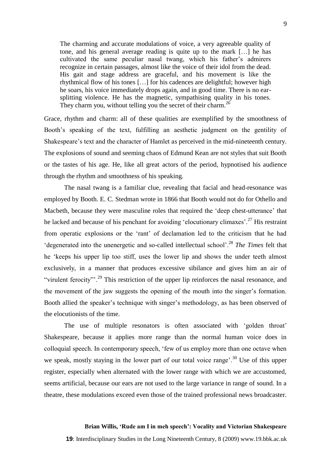The charming and accurate modulations of voice, a very agreeable quality of tone, and his general average reading is quite up to the mark […] he has cultivated the same peculiar nasal twang, which his father's admirers recognize in certain passages, almost like the voice of their idol from the dead. His gait and stage address are graceful, and his movement is like the rhythmical flow of his tones […] for his cadences are delightful; however high he soars, his voice immediately drops again, and in good time. There is no earsplitting violence. He has the magnetic, sympathising quality in his tones. They charm you, without telling you the secret of their charm.<sup>26</sup>

Grace, rhythm and charm: all of these qualities are exemplified by the smoothness of Booth's speaking of the text, fulfilling an aesthetic judgment on the gentility of Shakespeare's text and the character of Hamlet as perceived in the mid-nineteenth century. The explosions of sound and seeming chaos of Edmund Kean are not styles that suit Booth or the tastes of his age. He, like all great actors of the period, hypnotised his audience through the rhythm and smoothness of his speaking.

The nasal twang is a familiar clue, revealing that facial and head-resonance was employed by Booth. E. C. Stedman wrote in 1866 that Booth would not do for Othello and Macbeth, because they were masculine roles that required the 'deep chest-utterance' that he lacked and because of his penchant for avoiding 'elocutionary climaxes'.<sup>27</sup> His restraint from operatic explosions or the 'rant' of declamation led to the criticism that he had <sup>4</sup>degenerated into the unenergetic and so-called intellectual school'.<sup>28</sup> *The Times* felt that he 'keeps his upper lip too stiff, uses the lower lip and shows the under teeth almost exclusively, in a manner that produces excessive sibilance and gives him an air of "virulent ferocity".<sup>29</sup> This restriction of the upper lip reinforces the nasal resonance, and the movement of the jaw suggests the opening of the mouth into the singer's formation. Booth allied the speaker's technique with singer's methodology, as has been observed of the elocutionists of the time.

The use of multiple resonators is often associated with 'golden throat' Shakespeare, because it applies more range than the normal human voice does in colloquial speech. In contemporary speech, 'few of us employ more than one octave when we speak, mostly staying in the lower part of our total voice range'.<sup>30</sup> Use of this upper register, especially when alternated with the lower range with which we are accustomed, seems artificial, because our ears are not used to the large variance in range of sound. In a theatre, these modulations exceed even those of the trained professional news broadcaster.

#### **Brian Willis, 'Rude am I in meh speech': Vocality and Victorian Shakespeare**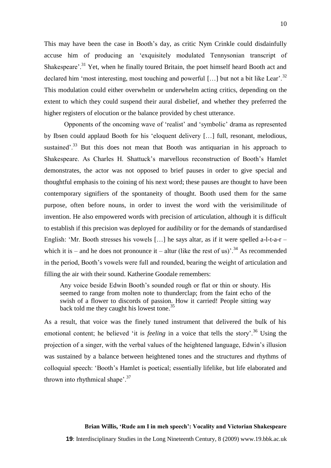This may have been the case in Booth's day, as critic Nym Crinkle could disdainfully accuse him of producing an ‗exquisitely modulated Tennysonian transcript of Shakespeare'.<sup>31</sup> Yet, when he finally toured Britain, the poet himself heard Booth act and declared him 'most interesting, most touching and powerful [...] but not a bit like Lear'.<sup>32</sup> This modulation could either overwhelm or underwhelm acting critics, depending on the extent to which they could suspend their aural disbelief, and whether they preferred the higher registers of elocution or the balance provided by chest utterance.

Opponents of the oncoming wave of 'realist' and 'symbolic' drama as represented by Ibsen could applaud Booth for his 'eloquent delivery [...] full, resonant, melodious, sustained'. $33$  But this does not mean that Booth was antiquarian in his approach to Shakespeare. As Charles H. Shattuck's marvellous reconstruction of Booth's Hamlet demonstrates, the actor was not opposed to brief pauses in order to give special and thoughtful emphasis to the coining of his next word; these pauses are thought to have been contemporary signifiers of the spontaneity of thought. Booth used them for the same purpose, often before nouns, in order to invest the word with the verisimilitude of invention. He also empowered words with precision of articulation, although it is difficult to establish if this precision was deployed for audibility or for the demands of standardised English: 'Mr. Booth stresses his vowels [...] he says altar, as if it were spelled a-l-t-a-r – which it is – and he does not pronounce it – altur (like the rest of us)<sup>2,4</sup> As recommended in the period, Booth's vowels were full and rounded, bearing the weight of articulation and filling the air with their sound. Katherine Goodale remembers:

Any voice beside Edwin Booth's sounded rough or flat or thin or shouty. His seemed to range from molten note to thunderclap; from the faint echo of the swish of a flower to discords of passion. How it carried! People sitting way back told me they caught his lowest tone.<sup>35</sup>

As a result, that voice was the finely tuned instrument that delivered the bulk of his emotional content; he believed 'it is *feeling* in a voice that tells the story'.<sup>36</sup> Using the projection of a singer, with the verbal values of the heightened language, Edwin's illusion was sustained by a balance between heightened tones and the structures and rhythms of colloquial speech: ‗Booth's Hamlet is poetical; essentially lifelike, but life elaborated and thrown into rhythmical shape'.<sup>37</sup>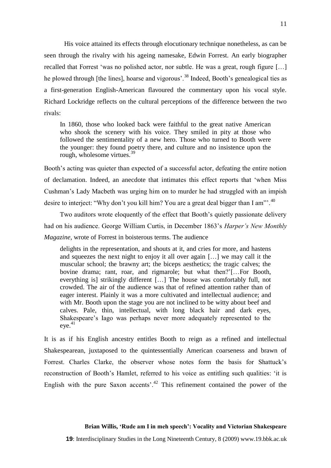His voice attained its effects through elocutionary technique nonetheless, as can be seen through the rivalry with his ageing namesake, Edwin Forrest. An early biographer recalled that Forrest 'was no polished actor, nor subtle. He was a great, rough figure [...] he plowed through [the lines], hoarse and vigorous<sup>', 38</sup> Indeed, Booth's genealogical ties as a first-generation English-American flavoured the commentary upon his vocal style. Richard Lockridge reflects on the cultural perceptions of the difference between the two rivals:

In 1860, those who looked back were faithful to the great native American who shook the scenery with his voice. They smiled in pity at those who followed the sentimentality of a new hero. Those who turned to Booth were the younger: they found poetry there, and culture and no insistence upon the rough, wholesome virtues.<sup>39</sup>

Booth's acting was quieter than expected of a successful actor, defeating the entire notion of declamation. Indeed, an anecdote that intimates this effect reports that ‗when Miss Cushman's Lady Macbeth was urging him on to murder he had struggled with an impish desire to interject: "Why don't you kill him? You are a great deal bigger than I am".  $40$ 

Two auditors wrote eloquently of the effect that Booth's quietly passionate delivery had on his audience. George William Curtis, in December 1863's *Harper's New Monthly Magazine*, wrote of Forrest in boisterous terms. The audience

delights in the representation, and shouts at it, and cries for more, and hastens and squeezes the next night to enjoy it all over again […] we may call it the muscular school; the brawny art; the biceps aesthetics; the tragic calves; the bovine drama; rant, roar, and rigmarole; but what then?'[…For Booth, everything is] strikingly different […] The house was comfortably full, not crowded. The air of the audience was that of refined attention rather than of eager interest. Plainly it was a more cultivated and intellectual audience; and with Mr. Booth upon the stage you are not inclined to be witty about beef and calves. Pale, thin, intellectual, with long black hair and dark eyes, Shakespeare's Iago was perhaps never more adequately represented to the eye. 41

It is as if his English ancestry entitles Booth to reign as a refined and intellectual Shakespearean, juxtaposed to the quintessentially American coarseness and brawn of Forrest. Charles Clarke, the observer whose notes form the basis for Shattuck's reconstruction of Booth's Hamlet, referred to his voice as entitling such qualities: 'it is English with the pure Saxon accents'. $42$  This refinement contained the power of the

#### **Brian Willis, 'Rude am I in meh speech': Vocality and Victorian Shakespeare**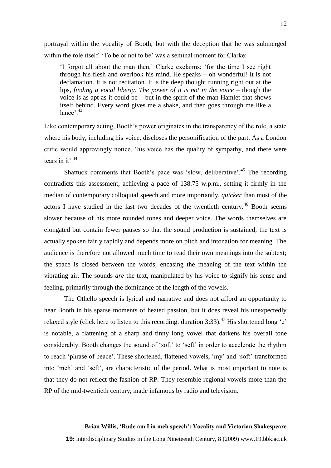portrayal within the vocality of Booth, but with the deception that he was submerged within the role itself. 'To be or not to be' was a seminal moment for Clarke:

‗I forgot all about the man then,' Clarke exclaims; ‗for the time I see right through his flesh and overlook his mind. He speaks – oh wonderful! It is not declamation. It is not recitation. It is the deep thought running right out at the lips, *finding a vocal liberty*. *The power of it is not in the voice* – though the voice is as apt as it could be – but in the spirit of the man Hamlet that shows itself behind. Every word gives me a shake, and then goes through me like a  $lance$ <sup>2,43</sup>

Like contemporary acting, Booth's power originates in the transparency of the role, a state where his body, including his voice, discloses the personification of the part. As a London critic would approvingly notice, ‗his voice has the quality of sympathy, and there were tears in it'.<sup>44</sup>

Shattuck comments that Booth's pace was 'slow, deliberative'.<sup>45</sup> The recording contradicts this assessment, achieving a pace of 138.75 w.p.m., setting it firmly in the median of contemporary colloquial speech and more importantly, *quicker* than most of the actors I have studied in the last two decades of the twentieth century.<sup>46</sup> Booth seems slower because of his more rounded tones and deeper voice. The words themselves are elongated but contain fewer pauses so that the sound production is sustained; the text is actually spoken fairly rapidly and depends more on pitch and intonation for meaning. The audience is therefore not allowed much time to read their own meanings into the subtext; the space is closed between the words, encasing the meaning of the text within the vibrating air. The sounds *are* the text, manipulated by his voice to signify his sense and feeling, primarily through the dominance of the length of the vowels.

The Othello speech is lyrical and narrative and does not afford an opportunity to hear Booth in his sparse moments of heated passion, but it does reveal his unexpectedly relaxed style (click here to listen to this recording: duration 3:33).<sup>47</sup> His shortened long 'e' is notable, a flattening of a sharp and tinny long vowel that darkens his overall tone considerably. Booth changes the sound of 'soft' to 'seft' in order to accelerate the rhythm to reach 'phrase of peace'. These shortened, flattened vowels, 'my' and 'soft' transformed into 'meh' and 'seft', are characteristic of the period. What is most important to note is that they do not reflect the fashion of RP. They resemble regional vowels more than the RP of the mid-twentieth century, made infamous by radio and television.

## **Brian Willis, 'Rude am I in meh speech': Vocality and Victorian Shakespeare**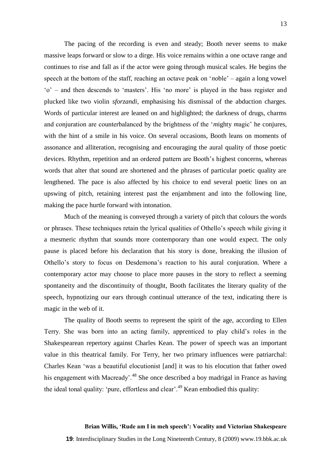The pacing of the recording is even and steady; Booth never seems to make massive leaps forward or slow to a dirge. His voice remains within a one octave range and continues to rise and fall as if the actor were going through musical scales. He begins the speech at the bottom of the staff, reaching an octave peak on '*no*ble' – again a long vowel ‗o' – and then descends to ‗masters'. His ‗no more' is played in the bass register and plucked like two violin *sforzandi*, emphasising his dismissal of the abduction charges. Words of particular interest are leaned on and highlighted; the darkness of drugs, charms and conjuration are counterbalanced by the brightness of the *'mighty magic'* he conjures, with the hint of a smile in his voice. On several occasions, Booth leans on moments of assonance and alliteration, recognising and encouraging the aural quality of those poetic devices. Rhythm, repetition and an ordered pattern are Booth's highest concerns, whereas words that alter that sound are shortened and the phrases of particular poetic quality are lengthened. The pace is also affected by his choice to end several poetic lines on an upswing of pitch, retaining interest past the enjambment and into the following line, making the pace hurtle forward with intonation.

Much of the meaning is conveyed through a variety of pitch that colours the words or phrases. These techniques retain the lyrical qualities of Othello's speech while giving it a mesmeric rhythm that sounds more contemporary than one would expect. The only pause is placed before his declaration that his story is done, breaking the illusion of Othello's story to focus on Desdemona's reaction to his aural conjuration. Where a contemporary actor may choose to place more pauses in the story to reflect a seeming spontaneity and the discontinuity of thought, Booth facilitates the literary quality of the speech, hypnotizing our ears through continual utterance of the text, indicating there is magic in the web of it.

The quality of Booth seems to represent the spirit of the age, according to Ellen Terry. She was born into an acting family, apprenticed to play child's roles in the Shakespearean repertory against Charles Kean. The power of speech was an important value in this theatrical family. For Terry, her two primary influences were patriarchal: Charles Kean ‗was a beautiful elocutionist [and] it was to his elocution that father owed his engagement with Macready'.<sup>48</sup> She once described a boy madrigal in France as having the ideal tonal quality: 'pure, effortless and clear'.<sup>49</sup> Kean embodied this quality:

## **Brian Willis, 'Rude am I in meh speech': Vocality and Victorian Shakespeare**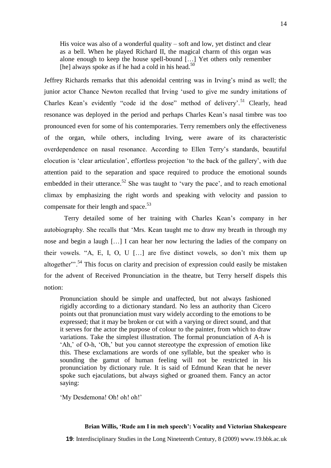His voice was also of a wonderful quality – soft and low, yet distinct and clear as a bell. When he played Richard II, the magical charm of this organ was alone enough to keep the house spell-bound  $[\dots]$  Yet others only remember [he] always spoke as if he had a cold in his head.<sup>5</sup>

Jeffrey Richards remarks that this adenoidal centring was in Irving's mind as well; the junior actor Chance Newton recalled that Irving 'used to give me sundry imitations of Charles Kean's evidently "code id the dose" method of delivery'.<sup>51</sup> Clearly, head resonance was deployed in the period and perhaps Charles Kean's nasal timbre was too pronounced even for some of his contemporaries. Terry remembers only the effectiveness of the organ, while others, including Irving, were aware of its characteristic overdependence on nasal resonance. According to Ellen Terry's standards, beautiful elocution is 'clear articulation', effortless projection 'to the back of the gallery', with due attention paid to the separation and space required to produce the emotional sounds embedded in their utterance.<sup>52</sup> She was taught to 'vary the pace', and to reach emotional climax by emphasizing the right words and speaking with velocity and passion to compensate for their length and space. $53$ 

Terry detailed some of her training with Charles Kean's company in her autobiography. She recalls that 'Mrs. Kean taught me to draw my breath in through my nose and begin a laugh […] I can hear her now lecturing the ladies of the company on their vowels. "A, E, I, O, U  $\lceil$ ...] are five distinct vowels, so don't mix them up altogether"<sup>34</sup>. This focus on clarity and precision of expression could easily be mistaken for the advent of Received Pronunciation in the theatre, but Terry herself dispels this notion:

Pronunciation should be simple and unaffected, but not always fashioned rigidly according to a dictionary standard. No less an authority than Cicero points out that pronunciation must vary widely according to the emotions to be expressed; that it may be broken or cut with a varying or direct sound, and that it serves for the actor the purpose of colour to the painter, from which to draw variations. Take the simplest illustration. The formal pronunciation of A-h is ‗Ah,' of O-h, ‗Oh,' but you cannot stereotype the expression of emotion like this. These exclamations are words of one syllable, but the speaker who is sounding the gamut of human feeling will not be restricted in his pronunciation by dictionary rule. It is said of Edmund Kean that he never spoke such ejaculations, but always sighed or groaned them. Fancy an actor saying:

'My Desdemona! Oh! oh!' oh!'

#### **Brian Willis, 'Rude am I in meh speech': Vocality and Victorian Shakespeare**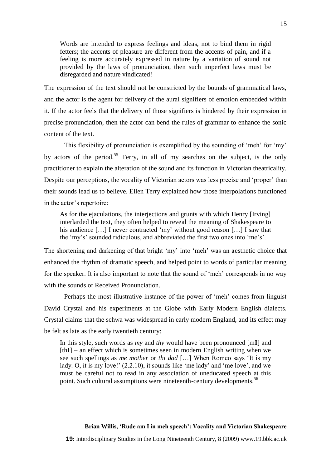Words are intended to express feelings and ideas, not to bind them in rigid fetters; the accents of pleasure are different from the accents of pain, and if a feeling is more accurately expressed in nature by a variation of sound not provided by the laws of pronunciation, then such imperfect laws must be disregarded and nature vindicated!

The expression of the text should not be constricted by the bounds of grammatical laws, and the actor is the agent for delivery of the aural signifiers of emotion embedded within it. If the actor feels that the delivery of those signifiers is hindered by their expression in precise pronunciation, then the actor can bend the rules of grammar to enhance the sonic content of the text.

This flexibility of pronunciation is exemplified by the sounding of 'meh' for 'my' by actors of the period.<sup>55</sup> Terry, in all of my searches on the subject, is the only practitioner to explain the alteration of the sound and its function in Victorian theatricality. Despite our perceptions, the vocality of Victorian actors was less precise and 'proper' than their sounds lead us to believe. Ellen Terry explained how those interpolations functioned in the actor's repertoire:

As for the ejaculations, the interjections and grunts with which Henry [Irving] interlarded the text, they often helped to reveal the meaning of Shakespeare to his audience  $[\dots]$  I never contracted 'my' without good reason  $[\dots]$  I saw that the 'my's' sounded ridiculous, and abbreviated the first two ones into 'me's'.

The shortening and darkening of that bright 'my' into 'meh' was an aesthetic choice that enhanced the rhythm of dramatic speech, and helped point to words of particular meaning for the speaker. It is also important to note that the sound of 'meh' corresponds in no way with the sounds of Received Pronunciation.

Perhaps the most illustrative instance of the power of 'meh' comes from linguist David Crystal and his experiments at the Globe with Early Modern English dialects. Crystal claims that the schwa was widespread in early modern England, and its effect may be felt as late as the early twentieth century:

In this style, such words as *my* and *thy* would have been pronounced [m**I**] and [th**I**] – an effect which is sometimes seen in modern English writing when we see such spellings as *me mother* or *thi dad* […] When Romeo says ‗It is my lady. O, it is my love!'  $(2.2.10)$ , it sounds like 'me lady' and 'me love', and we must be careful not to read in any association of uneducated speech at this point. Such cultural assumptions were nineteenth-century developments.<sup>56</sup>

## **Brian Willis, 'Rude am I in meh speech': Vocality and Victorian Shakespeare**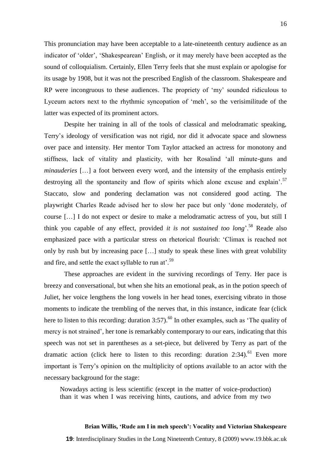This pronunciation may have been acceptable to a late-nineteenth century audience as an indicator of 'older', 'Shakespearean' English, or it may merely have been accepted as the sound of colloquialism. Certainly, Ellen Terry feels that she must explain or apologise for its usage by 1908, but it was not the prescribed English of the classroom. Shakespeare and RP were incongruous to these audiences. The propriety of 'my' sounded ridiculous to Lyceum actors next to the rhythmic syncopation of 'meh', so the verisimilitude of the latter was expected of its prominent actors.

Despite her training in all of the tools of classical and melodramatic speaking, Terry's ideology of versification was not rigid, nor did it advocate space and slowness over pace and intensity. Her mentor Tom Taylor attacked an actress for monotony and stiffness, lack of vitality and plasticity, with her Rosalind 'all minute-guns and *minauderies* […] a foot between every word, and the intensity of the emphasis entirely destroying all the spontaneity and flow of spirits which alone excuse and explain'.<sup>57</sup> Staccato, slow and pondering declamation was not considered good acting. The playwright Charles Reade advised her to slow her pace but only ‗done moderately, of course […] I do not expect or desire to make a melodramatic actress of you, but still I think you capable of any effect, provided *it is not sustained too long*<sup>58</sup> Reade also emphasized pace with a particular stress on rhetorical flourish: ‗Climax is reached not only by rush but by increasing pace […] study to speak these lines with great volubility and fire, and settle the exact syllable to run at'.<sup>59</sup>

These approaches are evident in the surviving recordings of Terry. Her pace is breezy and conversational, but when she hits an emotional peak, as in the potion speech of Juliet, her voice lengthens the long vowels in her head tones, exercising vibrato in those moments to indicate the trembling of the nerves that, in this instance, indicate fear (click here to listen to this recording: duration  $3:57$ ).<sup>60</sup> In other examples, such as 'The quality of mercy is not strained', her tone is remarkably contemporary to our ears, indicating that this speech was not set in parentheses as a set-piece, but delivered by Terry as part of the dramatic action (click here to listen to this recording: duration 2:34).<sup>61</sup> Even more important is Terry's opinion on the multiplicity of options available to an actor with the necessary background for the stage:

Nowadays acting is less scientific (except in the matter of voice-production) than it was when I was receiving hints, cautions, and advice from my two

## **Brian Willis, 'Rude am I in meh speech': Vocality and Victorian Shakespeare**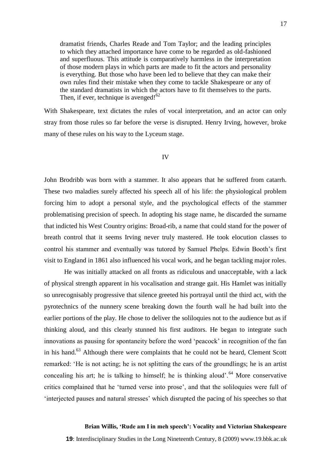dramatist friends, Charles Reade and Tom Taylor; and the leading principles to which they attached importance have come to be regarded as old-fashioned and superfluous. This attitude is comparatively harmless in the interpretation of those modern plays in which parts are made to fit the actors and personality is everything. But those who have been led to believe that they can make their own rules find their mistake when they come to tackle Shakespeare or any of the standard dramatists in which the actors have to fit themselves to the parts. Then, if ever, technique is avenged! $62$ 

With Shakespeare, text dictates the rules of vocal interpretation, and an actor can only stray from those rules so far before the verse is disrupted. Henry Irving, however, broke many of these rules on his way to the Lyceum stage.

## IV

John Brodribb was born with a stammer. It also appears that he suffered from catarrh. These two maladies surely affected his speech all of his life: the physiological problem forcing him to adopt a personal style, and the psychological effects of the stammer problematising precision of speech. In adopting his stage name, he discarded the surname that indicted his West Country origins: Broad-rib, a name that could stand for the power of breath control that it seems Irving never truly mastered. He took elocution classes to control his stammer and eventually was tutored by Samuel Phelps. Edwin Booth's first visit to England in 1861 also influenced his vocal work, and he began tackling major roles.

He was initially attacked on all fronts as ridiculous and unacceptable, with a lack of physical strength apparent in his vocalisation and strange gait. His Hamlet was initially so unrecognisably progressive that silence greeted his portrayal until the third act, with the pyrotechnics of the nunnery scene breaking down the fourth wall he had built into the earlier portions of the play. He chose to deliver the soliloquies not to the audience but as if thinking aloud, and this clearly stunned his first auditors. He began to integrate such innovations as pausing for spontaneity before the word 'peacock' in recognition of the fan in his hand. $63$  Although there were complaints that he could not be heard, Clement Scott remarked: ‗He is not acting; he is not splitting the ears of the groundlings; he is an artist concealing his art; he is talking to himself; he is thinking aloud'.<sup>64</sup> More conservative critics complained that he 'turned verse into prose', and that the soliloquies were full of ‗interjected pauses and natural stresses' which disrupted the pacing of his speeches so that

#### **Brian Willis, 'Rude am I in meh speech': Vocality and Victorian Shakespeare**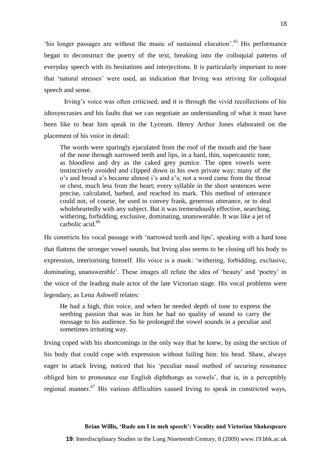this longer passages are without the music of sustained elocution'.<sup>65</sup> His performance began to deconstruct the poetry of the text, breaking into the colloquial patterns of everyday speech with its hesitations and interjections. It is particularly important to note that ‗natural stresses' were used, an indication that Irving was striving for colloquial speech and sense.

Irving's voice was often criticised, and it is through the vivid recollections of his idiosyncrasies and his faults that we can negotiate an understanding of what it must have been like to hear him speak in the Lyceum. Henry Arthur Jones elaborated on the placement of his voice in detail:

The words were sparingly ejaculated from the roof of the mouth and the base of the nose through narrowed teeth and lips, in a hard, thin, supercaustic tone, as bloodless and dry as the caked grey pumice. The open vowels were instinctively avoided and clipped down in his own private way; many of the o's and broad a's became almost i's and e's; not a word came from the throat or chest, much less from the heart; every syllable in the short sentences were precise, calculated, barbed, and reached its mark. This method of utterance could not, of course, be used to convey frank, generous utterance, or to deal wholeheartedly with any subject. But it was tremendously effective, searching, withering, forbidding, exclusive, dominating, unanswerable. It was like a jet of carbolic acid.<sup>66</sup>

He constricts his vocal passage with 'narrowed teeth and lips', speaking with a hard tone that flattens the stronger vowel sounds, but Irving also seems to be closing off his body to expression, interiorising himself. His voice is a mask: ‗withering, forbidding, exclusive, dominating, unanswerable'. These images all refute the idea of 'beauty' and 'poetry' in the voice of the leading male actor of the late Victorian stage. His vocal problems were legendary, as Lena Ashwell relates:

He had a high, thin voice, and when he needed depth of tone to express the seething passion that was in him he had no quality of sound to carry the message to his audience. So he prolonged the vowel sounds in a peculiar and sometimes irritating way.

Irving coped with his shortcomings in the only way that he knew, by using the section of his body that could cope with expression without failing him: his head. Shaw, always eager to attack Irving, noticed that his 'peculiar nasal method of securing resonance obliged him to pronounce our English diphthongs as vowels', that is, in a perceptibly regional manner.<sup>67</sup> His various difficulties caused Irving to speak in constricted ways,

## **Brian Willis, 'Rude am I in meh speech': Vocality and Victorian Shakespeare**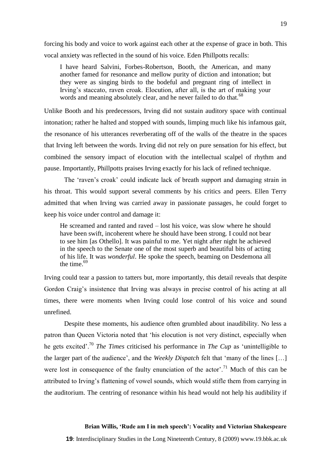forcing his body and voice to work against each other at the expense of grace in both. This vocal anxiety was reflected in the sound of his voice. Eden Phillpotts recalls:

I have heard Salvini, Forbes-Robertson, Booth, the American, and many another famed for resonance and mellow purity of diction and intonation; but they were as singing birds to the bodeful and pregnant ring of intellect in Irving's staccato, raven croak. Elocution, after all, is the art of making your words and meaning absolutely clear, and he never failed to do that.<sup>68</sup>

Unlike Booth and his predecessors, Irving did not sustain auditory space with continual intonation; rather he halted and stopped with sounds, limping much like his infamous gait, the resonance of his utterances reverberating off of the walls of the theatre in the spaces that Irving left between the words. Irving did not rely on pure sensation for his effect, but combined the sensory impact of elocution with the intellectual scalpel of rhythm and pause. Importantly, Phillpotts praises Irving exactly for his lack of refined technique.

The 'raven's croak' could indicate lack of breath support and damaging strain in his throat. This would support several comments by his critics and peers. Ellen Terry admitted that when Irving was carried away in passionate passages, he could forget to keep his voice under control and damage it:

He screamed and ranted and raved – lost his voice, was slow where he should have been swift, incoherent where he should have been strong. I could not bear to see him [as Othello]. It was painful to me. Yet night after night he achieved in the speech to the Senate one of the most superb and beautiful bits of acting of his life. It was *wonderful*. He spoke the speech, beaming on Desdemona all the time. $69$ 

Irving could tear a passion to tatters but, more importantly, this detail reveals that despite Gordon Craig's insistence that Irving was always in precise control of his acting at all times, there were moments when Irving could lose control of his voice and sound unrefined.

Despite these moments, his audience often grumbled about inaudibility. No less a patron than Queen Victoria noted that 'his elocution is not very distinct, especially when he gets excited'.<sup>70</sup> *The Times* criticised his performance in *The Cup* as ‗unintelligible to the larger part of the audience', and the *Weekly Dispatch* felt that 'many of the lines [...] were lost in consequence of the faulty enunciation of the actor'.<sup>71</sup> Much of this can be attributed to Irving's flattening of vowel sounds, which would stifle them from carrying in the auditorium. The centring of resonance within his head would not help his audibility if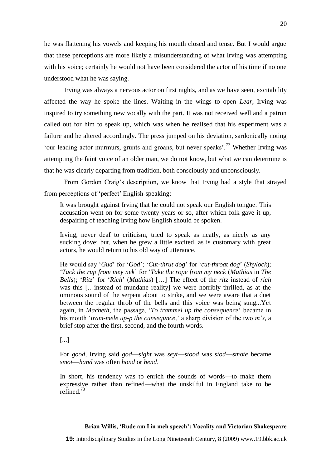he was flattening his vowels and keeping his mouth closed and tense. But I would argue that these perceptions are more likely a misunderstanding of what Irving was attempting with his voice; certainly he would not have been considered the actor of his time if no one understood what he was saying.

Irving was always a nervous actor on first nights, and as we have seen, excitability affected the way he spoke the lines. Waiting in the wings to open *Lear*, Irving was inspired to try something new vocally with the part. It was not received well and a patron called out for him to speak up, which was when he realised that his experiment was a failure and he altered accordingly. The press jumped on his deviation, sardonically noting 'our leading actor murmurs, grunts and groans, but never speaks'.<sup>72</sup> Whether Irving was attempting the faint voice of an older man, we do not know, but what we can determine is that he was clearly departing from tradition, both consciously and unconsciously.

From Gordon Craig's description, we know that Irving had a style that strayed from perceptions of 'perfect' English-speaking:

It was brought against Irving that he could not speak our English tongue. This accusation went on for some twenty years or so, after which folk gave it up, despairing of teaching Irving how English should be spoken.

Irving, never deaf to criticism, tried to speak as neatly, as nicely as any sucking dove; but, when he grew a little excited, as is customary with great actors, he would return to his old way of utterance.

He would say ‗*Gud*' for ‗*God*'; ‗*Cut-thrut dog*' for ‗*cut-throat dog*' (*Shylock*); ‗*Tack the rup from mey nek*' for ‗*Take the rope from my neck* (*Mathias* in *The Bells*); ‗*Ritz*' for ‗*Rich*' (*Mathias*) […] The effect of the *ritz* instead of *rich* was this […instead of mundane reality] we were horribly thrilled, as at the ominous sound of the serpent about to strike, and we were aware that a duet between the regular throb of the bells and this voice was being sung...Yet again, in *Macbeth*, the passage, ‗*To trammel up the consequence*' became in his mouth ‗*tram-mele up-p the cunsequnce,*' a sharp division of the two *m's*, a brief stop after the first, second, and the fourth words.

[...]

For *good*, Irving said *god*—*sight* was *seyt*—*stood* was *stod*—*smote* became *smot*—*hand* was often *hond* or *hend*.

In short, his tendency was to enrich the sounds of words—to make them expressive rather than refined—what the unskilful in England take to be refined.<sup>73</sup>

#### **Brian Willis, 'Rude am I in meh speech': Vocality and Victorian Shakespeare**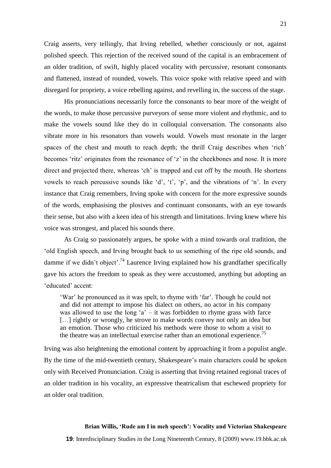Craig asserts, very tellingly, that Irving rebelled, whether consciously or not, against polished speech. This rejection of the received sound of the capital is an embracement of an older tradition, of swift, highly placed vocality with percussive, resonant consonants and flattened, instead of rounded, vowels. This voice spoke with relative speed and with disregard for propriety, a voice rebelling against, and revelling in, the success of the stage.

His pronunciations necessarily force the consonants to bear more of the weight of the words, to make those percussive purveyors of sense more violent and rhythmic, and to make the vowels sound like they do in colloquial conversation. The consonants also vibrate more in his resonators than vowels would. Vowels must resonate in the larger spaces of the chest and mouth to reach depth; the thrill Craig describes when 'rich' becomes 'ritz' originates from the resonance of 'z' in the cheekbones and nose. It is more direct and projected there, whereas 'ch' is trapped and cut off by the mouth. He shortens vowels to reach percussive sounds like  $d'$ ,  $t'$ ,  $p'$ , and the vibrations of  $n'$ . In every instance that Craig remembers, Irving spoke with concern for the more expressive sounds of the words, emphasising the plosives and continuant consonants, with an eye towards their sense, but also with a keen idea of his strength and limitations. Irving knew where his voice was strongest, and placed his sounds there.

As Craig so passionately argues, he spoke with a mind towards oral tradition, the ‗old English speech, and Irving brought back to us something of the ripe old sounds, and damme if we didn't object'.<sup>74</sup> Laurence Irving explained how his grandfather specifically gave his actors the freedom to speak as they were accustomed, anything but adopting an ‗educated' accent:

‗War' he pronounced as it was spelt, to rhyme with ‗far'. Though he could not and did not attempt to impose his dialect on others, no actor in his company was allowed to use the long  $a' - it$  was forbidden to rhyme grass with farce [...] rightly or wrongly, he strove to make words convey not only an idea but an emotion. Those who criticized his methods were those to whom a visit to the theatre was an intellectual exercise rather than an emotional experience.<sup> $\beta$ </sup>

Irving was also heightening the emotional content by approaching it from a populist angle. By the time of the mid-twentieth century, Shakespeare's main characters could be spoken only with Received Pronunciation. Craig is asserting that Irving retained regional traces of an older tradition in his vocality, an expressive theatricalism that eschewed propriety for an older oral tradition.

#### **Brian Willis, 'Rude am I in meh speech': Vocality and Victorian Shakespeare**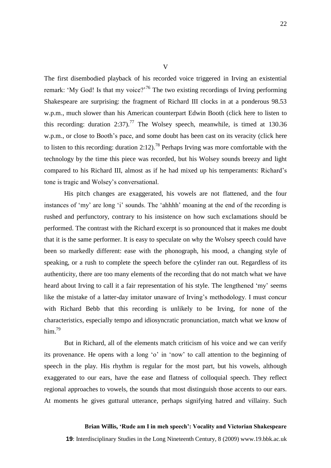The first disembodied playback of his recorded voice triggered in Irving an existential remark: 'My God! Is that my voice?'<sup>76</sup> The two existing recordings of Irving performing Shakespeare are surprising: the fragment of Richard III clocks in at a ponderous 98.53 w.p.m., much slower than his American counterpart Edwin Booth (click here to listen to this recording: duration 2:37).<sup>77</sup> The Wolsey speech, meanwhile, is timed at 130.36 w.p.m., or close to Booth's pace, and some doubt has been cast on its veracity (click here to listen to this recording: duration 2:12).<sup>78</sup> Perhaps Irving was more comfortable with the technology by the time this piece was recorded, but his Wolsey sounds breezy and light compared to his Richard III, almost as if he had mixed up his temperaments: Richard's tone is tragic and Wolsey's conversational.

His pitch changes are exaggerated, his vowels are not flattened, and the four instances of 'my' are long 'i' sounds. The 'ahhhh' moaning at the end of the recording is rushed and perfunctory, contrary to his insistence on how such exclamations should be performed. The contrast with the Richard excerpt is so pronounced that it makes me doubt that it is the same performer. It is easy to speculate on why the Wolsey speech could have been so markedly different: ease with the phonograph, his mood, a changing style of speaking, or a rush to complete the speech before the cylinder ran out. Regardless of its authenticity, there are too many elements of the recording that do not match what we have heard about Irving to call it a fair representation of his style. The lengthened 'my' seems like the mistake of a latter-day imitator unaware of Irving's methodology. I must concur with Richard Bebb that this recording is unlikely to be Irving, for none of the characteristics, especially tempo and idiosyncratic pronunciation, match what we know of him. 79

But in Richard, all of the elements match criticism of his voice and we can verify its provenance. He opens with a long 'o' in 'now' to call attention to the beginning of speech in the play. His rhythm is regular for the most part, but his vowels, although exaggerated to our ears, have the ease and flatness of colloquial speech. They reflect regional approaches to vowels, the sounds that most distinguish those accents to our ears. At moments he gives guttural utterance, perhaps signifying hatred and villainy. Such

#### **Brian Willis, 'Rude am I in meh speech': Vocality and Victorian Shakespeare**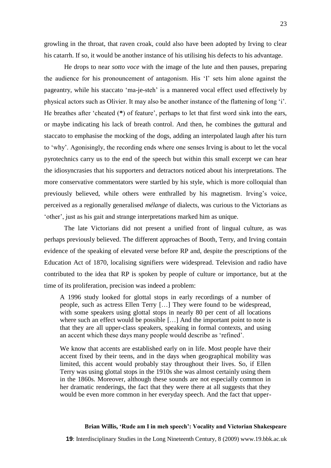growling in the throat, that raven croak, could also have been adopted by Irving to clear his catarrh. If so, it would be another instance of his utilising his defects to his advantage.

He drops to near *sotto voce* with the image of the lute and then pauses, preparing the audience for his pronouncement of antagonism. His ‗I' sets him alone against the pageantry, while his staccato 'ma-je-steh' is a mannered vocal effect used effectively by physical actors such as Olivier. It may also be another instance of the flattening of long ‗i'. He breathes after 'cheated (\*) of feature', perhaps to let that first word sink into the ears, or maybe indicating his lack of breath control. And then, he combines the guttural and staccato to emphasise the mocking of the dogs, adding an interpolated laugh after his turn to ‗why'. Agonisingly, the recording ends where one senses Irving is about to let the vocal pyrotechnics carry us to the end of the speech but within this small excerpt we can hear the idiosyncrasies that his supporters and detractors noticed about his interpretations. The more conservative commentators were startled by his style, which is more colloquial than previously believed, while others were enthralled by his magnetism. Irving's voice, perceived as a regionally generalised *mélange* of dialects, was curious to the Victorians as ‗other', just as his gait and strange interpretations marked him as unique.

The late Victorians did not present a unified front of lingual culture, as was perhaps previously believed. The different approaches of Booth, Terry, and Irving contain evidence of the speaking of elevated verse before RP and, despite the prescriptions of the Education Act of 1870, localising signifiers were widespread. Television and radio have contributed to the idea that RP is spoken by people of culture or importance, but at the time of its proliferation, precision was indeed a problem:

A 1996 study looked for glottal stops in early recordings of a number of people, such as actress Ellen Terry […] They were found to be widespread, with some speakers using glottal stops in nearly 80 per cent of all locations where such an effect would be possible [...] And the important point to note is that they are all upper-class speakers, speaking in formal contexts, and using an accent which these days many people would describe as 'refined'.

We know that accents are established early on in life. Most people have their accent fixed by their teens, and in the days when geographical mobility was limited, this accent would probably stay throughout their lives. So, if Ellen Terry was using glottal stops in the 1910s she was almost certainly using them in the 1860s. Moreover, although these sounds are not especially common in her dramatic renderings, the fact that they were there at all suggests that they would be even more common in her everyday speech. And the fact that upper-

#### **Brian Willis, 'Rude am I in meh speech': Vocality and Victorian Shakespeare**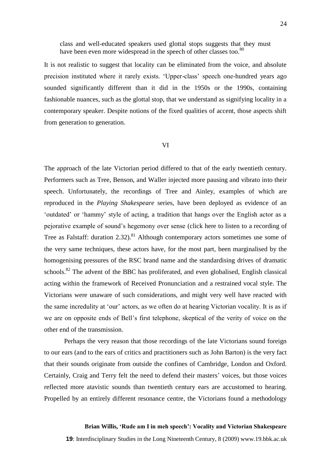class and well-educated speakers used glottal stops suggests that they must have been even more widespread in the speech of other classes too.<sup>80</sup>

It is not realistic to suggest that locality can be eliminated from the voice, and absolute precision instituted where it rarely exists. ‗Upper-class' speech one-hundred years ago sounded significantly different than it did in the 1950s or the 1990s, containing fashionable nuances, such as the glottal stop, that we understand as signifying locality in a contemporary speaker. Despite notions of the fixed qualities of accent, those aspects shift from generation to generation.

#### VI

The approach of the late Victorian period differed to that of the early twentieth century. Performers such as Tree, Benson, and Waller injected more pausing and vibrato into their speech. Unfortunately, the recordings of Tree and Ainley, examples of which are reproduced in the *Playing Shakespeare* series, have been deployed as evidence of an 'outdated' or 'hammy' style of acting, a tradition that hangs over the English actor as a pejorative example of sound's hegemony over sense (click here to listen to a recording of Tree as Falstaff: duration 2.32).<sup>81</sup> Although contemporary actors sometimes use some of the very same techniques, these actors have, for the most part, been marginalised by the homogenising pressures of the RSC brand name and the standardising drives of dramatic schools.<sup>82</sup> The advent of the BBC has proliferated, and even globalised, English classical acting within the framework of Received Pronunciation and a restrained vocal style. The Victorians were unaware of such considerations, and might very well have reacted with the same incredulity at 'our' actors, as we often do at hearing Victorian vocality. It is as if we are on opposite ends of Bell's first telephone, skeptical of the verity of voice on the other end of the transmission.

Perhaps the very reason that those recordings of the late Victorians sound foreign to our ears (and to the ears of critics and practitioners such as John Barton) is the very fact that their sounds originate from outside the confines of Cambridge, London and Oxford. Certainly, Craig and Terry felt the need to defend their masters' voices, but those voices reflected more atavistic sounds than twentieth century ears are accustomed to hearing. Propelled by an entirely different resonance centre, the Victorians found a methodology

## **Brian Willis, 'Rude am I in meh speech': Vocality and Victorian Shakespeare**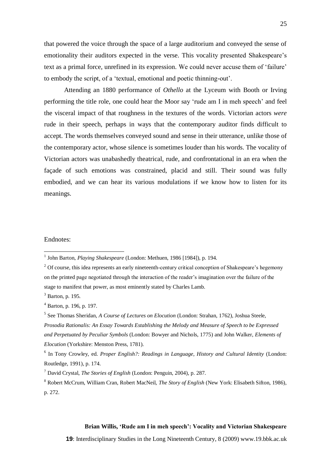that powered the voice through the space of a large auditorium and conveyed the sense of emotionality their auditors expected in the verse. This vocality presented Shakespeare's text as a primal force, unrefined in its expression. We could never accuse them of 'failure' to embody the script, of a 'textual, emotional and poetic thinning-out'.

Attending an 1880 performance of *Othello* at the Lyceum with Booth or Irving performing the title role, one could hear the Moor say ‗rude am I in meh speech' and feel the visceral impact of that roughness in the textures of the words. Victorian actors *were* rude in their speech, perhaps in ways that the contemporary auditor finds difficult to accept. The words themselves conveyed sound and sense in their utterance, unlike those of the contemporary actor, whose silence is sometimes louder than his words. The vocality of Victorian actors was unabashedly theatrical, rude, and confrontational in an era when the façade of such emotions was constrained, placid and still. Their sound was fully embodied, and we can hear its various modulations if we know how to listen for its meanings.

## Endnotes:

 $\overline{a}$ 

## **Brian Willis, 'Rude am I in meh speech': Vocality and Victorian Shakespeare**

<sup>&</sup>lt;sup>1</sup> John Barton, *Playing Shakespeare* (London: Methuen, 1986 [1984]), p. 194.

 $2$  Of course, this idea represents an early nineteenth-century critical conception of Shakespeare's hegemony on the printed page negotiated through the interaction of the reader's imagination over the failure of the stage to manifest that power, as most eminently stated by Charles Lamb.

 $3$  Barton, p. 195.

<sup>4</sup> Barton, p. 196, p. 197.

<sup>5</sup> See Thomas Sheridan, *A Course of Lectures on Elocution* (London: Strahan, 1762), Joshua Steele, *Prosodia Rationalis: An Essay Towards Establishing the Melody and Measure of Speech to be Expressed and Perpetuated by Peculiar Symbols* (London: Bowyer and Nichols, 1775) and John Walker, *Elements of Elocution* (Yorkshire: Menston Press, 1781).

<sup>6</sup> In Tony Crowley, ed. *Proper English?: Readings in Language, History and Cultural Identity* (London: Routledge, 1991), p. 174.

<sup>7</sup> David Crystal, *The Stories of English* (London: Penguin, 2004), p. 287.

<sup>8</sup> Robert McCrum, William Cran, Robert MacNeil, *The Story of English* (New York: Elisabeth Sifton, 1986), p. 272.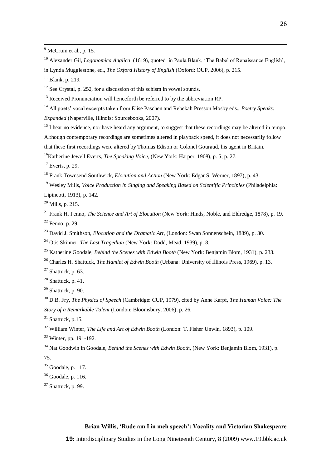<sup>10</sup> Alexander Gil, *Logonomica Anglica* (1619), quoted in Paula Blank, 'The Babel of Renaissance English', in Lynda Mugglestone, ed., *The Oxford History of English* (Oxford: OUP, 2006), p. 215.

Blank, p. 219.

<u>.</u>

See Crystal, p. 252, for a discussion of this schism in vowel sounds.

Received Pronunciation will henceforth be referred to by the abbreviation RP.

All poets' vocal excerpts taken from Elise Paschen and Rebekah Presson Mosby eds., *Poetry Speaks:* 

*Expanded* (Naperville, Illinois: Sourcebooks, 2007).

<sup>15</sup> I hear no evidence, nor have heard any argument, to suggest that these recordings may be altered in tempo. Although contemporary recordings are sometimes altered in playback speed, it does not necessarily follow that these first recordings were altered by Thomas Edison or Colonel Gouraud, his agent in Britain.

Katherine Jewell Everts, *The Speaking Voice*, (New York: Harper, 1908), p. 5; p. 27.

Everts, p. 29.

Frank Townsend Southwick, *Elocution and Action* (New York: Edgar S. Werner, 1897), p. 43.

Wesley Mills, *Voice Production in Singing and Speaking Based on Scientific Principles* (Philadelphia:

Lipincott, 1913), p. 142.

Mills, p. 215.

 Frank H. Fenno, *The Science and Art of Elocution* (New York: Hinds, Noble, and Eldredge, 1878), p. 19. Fenno, p. 29.

David J. Smithson, *Elocution and the Dramatic Art*, (London: Swan Sonnenschein, 1889), p. 30.

Otis Skinner, *The Last Tragedian* (New York: Dodd, Mead, 1939), p. 8.

Katherine Goodale, *Behind the Scenes with Edwin Booth* (New York: Benjamin Blom, 1931), p. 233.

Charles H. Shattuck, *The Hamlet of Edwin Booth* (Urbana: University of Illinois Press, 1969), p. 13.

Shattuck, p. 63.

Shattuck, p. 41.

Shattuck, p. 90.

 D.B. Fry, *The Physics of Speech* (Cambridge: CUP, 1979), cited by Anne Karpf, *The Human Voice: The Story of a Remarkable Talent* (London: Bloomsbury, 2006), p. 26.

Shattuck, p.15.

William Winter, *The Life and Art of Edwin Booth* (London: T. Fisher Unwin, 1893), p. 109.

Winter, pp. 191-192.

 Nat Goodwin in Goodale, *Behind the Scenes with Edwin Booth*, (New York: Benjamin Blom, 1931), p. 75.

Goodale, p. 117.

Goodale, p. 116.

Shattuck, p. 99.

## **Brian Willis, 'Rude am I in meh speech': Vocality and Victorian Shakespeare**

 $9^9$  McCrum et al., p. 15.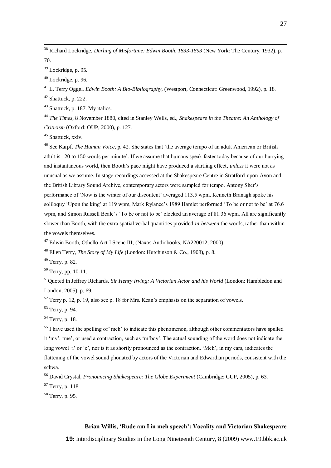<sup>38</sup> Richard Lockridge, *Darling of Misfortune: Edwin Booth, 1833-1893* (New York: The Century, 1932), p. 70.

<sup>39</sup> Lockridge, p. 95.

<u>.</u>

 $40$  Lockridge, p. 96.

<sup>41</sup> L. Terry Oggel, *Edwin Booth: A Bio-Bibliography*, (Westport, Connecticut: Greenwood, 1992), p. 18.  $42$  Shattuck, p. 222.

<sup>43</sup> Shattuck, p. 187. My italics.

<sup>44</sup> *The Times*, 8 November 1880, cited in Stanley Wells, ed., *Shakespeare in the Theatre: An Anthology of Criticism* (Oxford: OUP, 2000), p. 127.

<sup>45</sup> Shattuck, xxiv.

<sup>46</sup> See Karpf, *The Human Voice*, p. 42. She states that 'the average tempo of an adult American or British adult is 120 to 150 words per minute'. If we assume that humans speak faster today because of our hurrying and instantaneous world, then Booth's pace might have produced a startling effect, *unless* it were not as unusual as we assume. In stage recordings accessed at the Shakespeare Centre in Stratford-upon-Avon and the British Library Sound Archive, contemporary actors were sampled for tempo. Antony Sher's performance of 'Now is the winter of our discontent' averaged 113.5 wpm, Kenneth Branagh spoke his soliloquy 'Upon the king' at 119 wpm, Mark Rylance's 1989 Hamlet performed 'To be or not to be' at 76.6 wpm, and Simon Russell Beale's 'To be or not to be' clocked an average of 81.36 wpm. All are significantly slower than Booth, with the extra spatial verbal quantities provided *in-between* the words, rather than within the vowels themselves.

<sup>47</sup> Edwin Booth, Othello Act I Scene III, (Naxos Audiobooks, NA220012, 2000).

<sup>48</sup> Ellen Terry, *The Story of My Life* (London: Hutchinson & Co., 1908), p. 8.

<sup>49</sup> Terry, p. 82.

 $50$  Terry, pp. 10-11.

<sup>51</sup>Quoted in Jeffrey Richards, *Sir Henry Irving: A Victorian Actor and his World* (London: Hambledon and London, 2005), p. 69.

 $52$  Terry p. 12, p. 19, also see p. 18 for Mrs. Kean's emphasis on the separation of vowels.

<sup>53</sup> Terry, p. 94.

<sup>54</sup> Terry, p. 18.

<sup>55</sup> I have used the spelling of 'meh' to indicate this phenomenon, although other commentators have spelled it ‗my', ‗me', or used a contraction, such as ‗m'boy'. The actual sounding of the word does not indicate the long vowel 'i' or 'e', nor is it as shortly pronounced as the contraction. 'Meh', in my ears, indicates the flattening of the vowel sound phonated by actors of the Victorian and Edwardian periods, consistent with the schwa.

<sup>56</sup> David Crystal, *Pronouncing Shakespeare: The Globe Experiment* (Cambridge: CUP, 2005), p. 63.

<sup>57</sup> Terry, p. 118.

<sup>58</sup> Terry, p. 95.

## **Brian Willis, 'Rude am I in meh speech': Vocality and Victorian Shakespeare**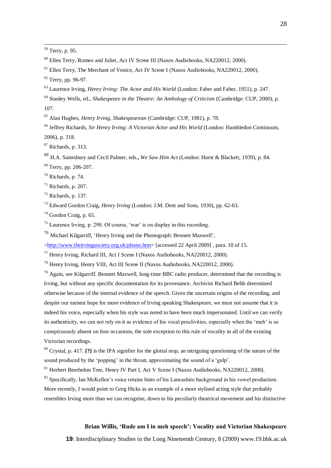<sup>59</sup> Terry, p. 95.

<u>.</u>

<sup>61</sup> Ellen Terry, The Merchant of Venice, Act IV Scene I (Naxos Audiobooks, NA220012, 2000).

<sup>62</sup> Terry, pp. 96-97.

<sup>63</sup> Laurence Irving, *Henry Irving: The Actor and His World* (London: Faber and Faber, 1951), p. 247.

<sup>64</sup> Stanley Wells, ed., *Shakespeare in the Theatre: An Anthology of Criticism* (Cambridge: CUP, 2000), p. 107.

<sup>65</sup> Alan Hughes, *Henry Irving, Shakespearean* (Cambridge: CUP, 1981), p. 78.

<sup>66</sup> Jeffrey Richards, *Sir Henry Irving: A Victorian Actor and His World* (London: Hambledon Continuum, 2006), p. 318.

 $67$  Richards, p. 313.

<sup>68</sup> H.A. Saintsbury and Cecil Palmer, eds.**,** *We Saw Him Act* (London: Hurst & Blackett, 1939), p. 84.

<sup>69</sup> Terry, pp. 206-207.

 $70$  Richards, p. 74.

 $71$  Richards, p. 207.

 $72$  Richards, p. 137.

<sup>73</sup> Edward Gordon Craig, *Henry Irving* (London: J.M. Dent and Sons, 1930), pp. 62-63.

 $74$  Gordon Craig, p. 65.

 $75$  Laurence Irving, p. 298. Of course, 'war' is on display in this recording.

 $^{76}$  Michael Kilgarriff, 'Henry Irving and the Phonograph: Bennett Maxwell',

[<http://www.theirvingsociety.org.uk/phono.htm>](http://www.theirvingsociety.org.uk/phono.htm) [accessed 22 April 2009] , para. 10 of 15.

<sup>77</sup> Henry Irving, Richard III, Act I Scene I (Naxos Audiobooks, NA220012, 2000).

<sup>78</sup> Henry Irving, Henry VIII, Act III Scene II (Naxos Audiobooks, NA220012, 2000).

 $^{79}$  Again, see Kilgarriff. Bennett Maxwell, long-time BBC radio producer, determined that the recording is Irving, but without any specific documentation for its provenance. Archivist Richard Bebb determined otherwise because of the internal evidence of the speech. Given the uncertain origins of the recording, and despite our earnest hope for more evidence of Irving speaking Shakespeare, we must not assume that it is indeed his voice, especially when his style was noted to have been much impersonated. Until we can verify its authenticity, we can not rely on it as evidence of his vocal proclivities, especially when the 'meh' is so conspicuously absent on four occasions, the sole exception to this rule of vocality in all of the existing Victorian recordings.

<sup>80</sup> Crystal, p. 417. **{?}** is the IPA signifier for the glottal stop, an intriguing questioning of the nature of the sound produced by the 'popping' in the throat, approximating the sound of a 'gulp'.

<sup>81</sup> Herbert Beerbohm Tree, Henry IV Part I, Act V Scene I (Naxos Audiobooks, NA220012, 2000).

 $82$  Specifically, Ian McKellen's voice retains hints of his Lancashire background in his vowel production. More recently, I would point to Greg Hicks as an example of a more stylised acting style that probably resembles Irving more than we can recognise, down to his peculiarly theatrical movement and his distinctive

## **Brian Willis, 'Rude am I in meh speech': Vocality and Victorian Shakespeare**

 $^{60}$  Ellen Terry, Romeo and Juliet, Act IV Scene III (Naxos Audiobooks, NA220012, 2000).